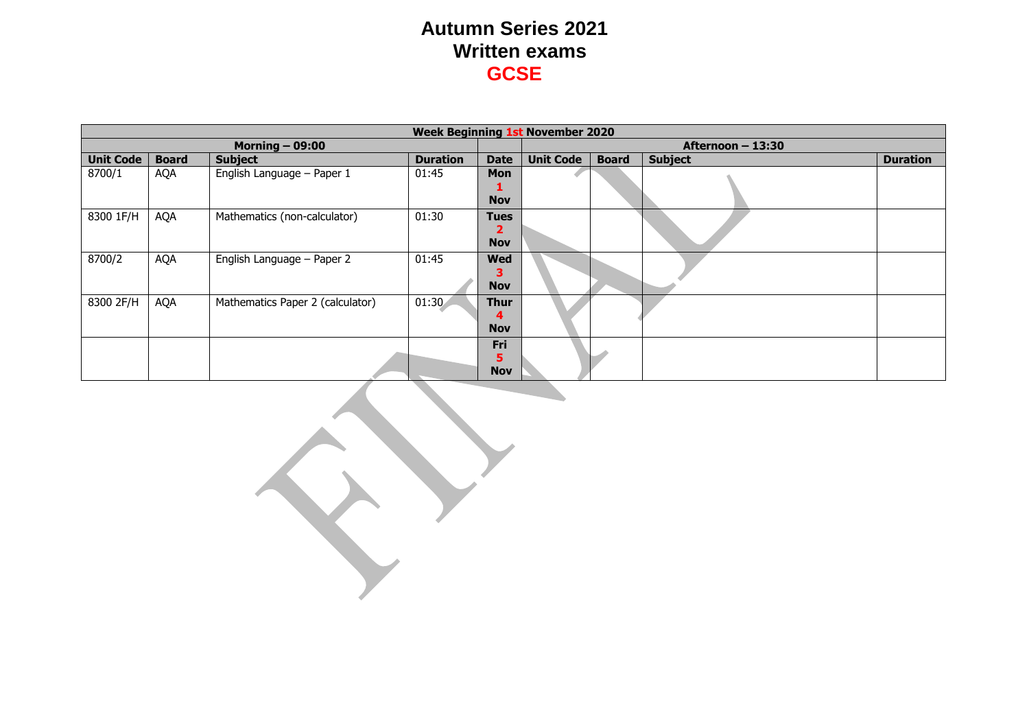|                  | <b>Week Beginning 1st November 2020</b> |                                  |                 |                                |                  |                   |                |                 |  |  |
|------------------|-----------------------------------------|----------------------------------|-----------------|--------------------------------|------------------|-------------------|----------------|-----------------|--|--|
|                  |                                         | Morning $-$ 09:00                |                 |                                |                  | Afternoon - 13:30 |                |                 |  |  |
| <b>Unit Code</b> | <b>Board</b>                            | <b>Subject</b>                   | <b>Duration</b> | <b>Date</b>                    | <b>Unit Code</b> | <b>Board</b>      | <b>Subject</b> | <b>Duration</b> |  |  |
| 8700/1           | <b>AQA</b>                              | English Language - Paper 1       | 01:45           | Mon<br><b>Nov</b>              |                  |                   |                |                 |  |  |
| 8300 1F/H        | <b>AQA</b>                              | Mathematics (non-calculator)     | 01:30           | <b>Tues</b><br>2<br><b>Nov</b> |                  |                   |                |                 |  |  |
| 8700/2           | AQA                                     | English Language - Paper 2       | 01:45           | <b>Wed</b><br>з<br><b>Nov</b>  |                  |                   |                |                 |  |  |
| 8300 2F/H        | AQA                                     | Mathematics Paper 2 (calculator) | 01:30           | <b>Thur</b><br><b>Nov</b>      |                  |                   |                |                 |  |  |
|                  |                                         |                                  |                 | Fri<br>5<br><b>Nov</b>         |                  |                   |                |                 |  |  |

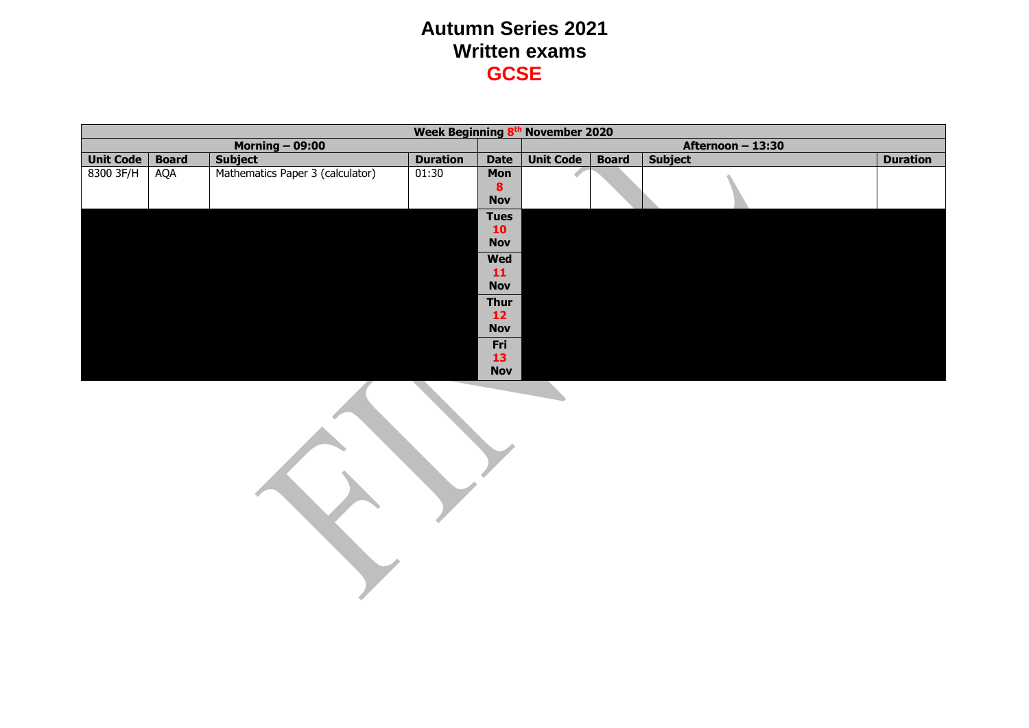|                  |              |                                  |                 |             | Week Beginning 8th November 2020 |              |                   |                 |
|------------------|--------------|----------------------------------|-----------------|-------------|----------------------------------|--------------|-------------------|-----------------|
|                  |              | Morning $-$ 09:00                |                 |             |                                  |              | Afternoon - 13:30 |                 |
| <b>Unit Code</b> | <b>Board</b> | <b>Subject</b>                   | <b>Duration</b> | <b>Date</b> | <b>Unit Code</b>                 | <b>Board</b> | <b>Subject</b>    | <b>Duration</b> |
| 8300 3F/H        | AQA          | Mathematics Paper 3 (calculator) | 01:30           | Mon         |                                  |              |                   |                 |
|                  |              |                                  |                 | 8           |                                  |              |                   |                 |
|                  |              |                                  |                 | <b>Nov</b>  |                                  |              |                   |                 |
|                  |              |                                  |                 | <b>Tues</b> |                                  |              |                   |                 |
|                  |              |                                  |                 | 10          |                                  |              |                   |                 |
|                  |              |                                  |                 | <b>Nov</b>  |                                  |              |                   |                 |
|                  |              |                                  |                 | <b>Wed</b>  |                                  |              |                   |                 |
|                  |              |                                  |                 | 11          |                                  |              |                   |                 |
|                  |              |                                  |                 | <b>Nov</b>  |                                  |              |                   |                 |
|                  |              |                                  |                 | <b>Thur</b> |                                  |              |                   |                 |
|                  |              |                                  |                 | 12          |                                  |              |                   |                 |
|                  |              |                                  |                 | <b>Nov</b>  |                                  |              |                   |                 |
|                  |              |                                  |                 | Fri         |                                  |              |                   |                 |
|                  |              |                                  |                 | 13          |                                  |              |                   |                 |
|                  |              |                                  |                 | <b>Nov</b>  |                                  |              |                   |                 |

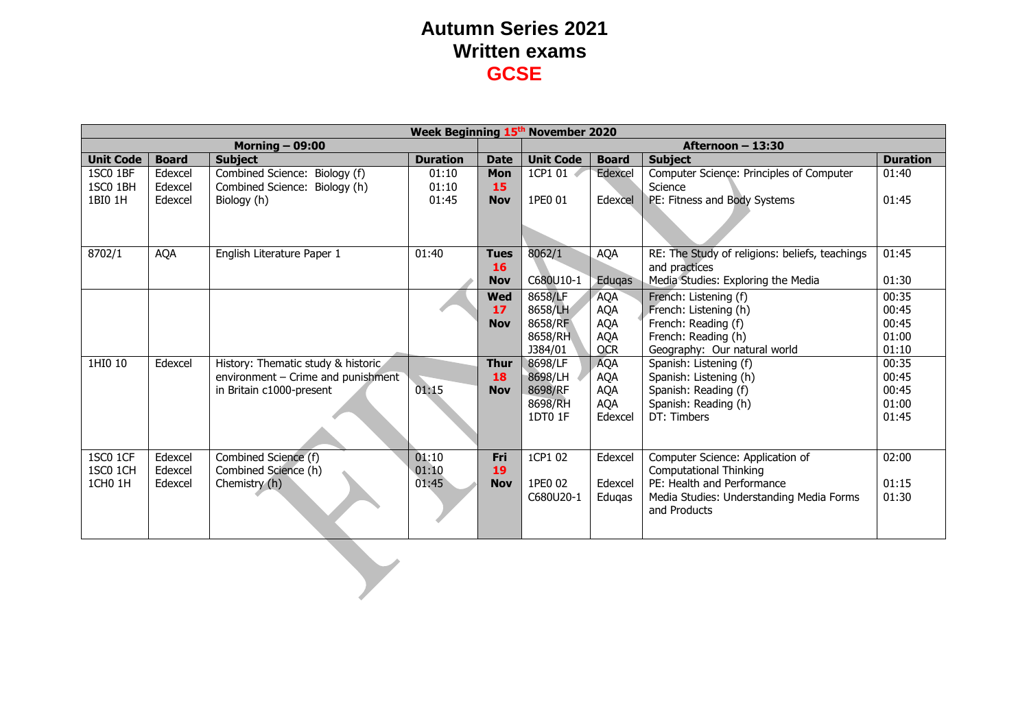|                  | Week Beginning 15th November 2020 |                                    |                 |             |                  |              |                                                |                 |  |  |
|------------------|-----------------------------------|------------------------------------|-----------------|-------------|------------------|--------------|------------------------------------------------|-----------------|--|--|
|                  |                                   | <b>Morning - 09:00</b>             |                 |             |                  |              | Afternoon - 13:30                              |                 |  |  |
| <b>Unit Code</b> | <b>Board</b>                      | <b>Subject</b>                     | <b>Duration</b> | <b>Date</b> | <b>Unit Code</b> | <b>Board</b> | <b>Subject</b>                                 | <b>Duration</b> |  |  |
| 1SC0 1BF         | Edexcel                           | Combined Science: Biology (f)      | 01:10           | <b>Mon</b>  | 1CP1 01          | Edexcel      | Computer Science: Principles of Computer       | 01:40           |  |  |
| 1SC0 1BH         | Edexcel                           | Combined Science: Biology (h)      | 01:10           | 15          |                  |              | Science                                        |                 |  |  |
| 1BI0 1H          | Edexcel                           | Biology (h)                        | 01:45           | <b>Nov</b>  | 1PE0 01          | Edexcel      | PE: Fitness and Body Systems                   | 01:45           |  |  |
|                  |                                   |                                    |                 |             |                  |              |                                                |                 |  |  |
|                  |                                   |                                    |                 |             |                  |              |                                                |                 |  |  |
|                  |                                   |                                    |                 |             |                  |              |                                                |                 |  |  |
| 8702/1           | <b>AQA</b>                        | English Literature Paper 1         | 01:40           | <b>Tues</b> | 8062/1           | AQA          | RE: The Study of religions: beliefs, teachings | 01:45           |  |  |
|                  |                                   |                                    |                 | 16          |                  |              | and practices                                  |                 |  |  |
|                  |                                   |                                    |                 | <b>Nov</b>  | C680U10-1        | Eduqas       | Media Studies: Exploring the Media             | 01:30           |  |  |
|                  |                                   |                                    |                 | <b>Wed</b>  | 8658/LF          | <b>AQA</b>   | French: Listening (f)                          | 00:35           |  |  |
|                  |                                   |                                    |                 | 17          | 8658/LH          | <b>AQA</b>   | French: Listening (h)                          | 00:45           |  |  |
|                  |                                   |                                    |                 | <b>Nov</b>  | 8658/RF          | <b>AQA</b>   | French: Reading (f)                            | 00:45           |  |  |
|                  |                                   |                                    |                 |             | 8658/RH          | <b>AQA</b>   | French: Reading (h)                            | 01:00           |  |  |
|                  |                                   |                                    |                 |             | J384/01          | <b>OCR</b>   | Geography: Our natural world                   | 01:10           |  |  |
| 1HI0 10          | Edexcel                           | History: Thematic study & historic |                 | <b>Thur</b> | 8698/LF          | AQA          | Spanish: Listening (f)                         | 00:35           |  |  |
|                  |                                   | environment - Crime and punishment |                 | 18          | 8698/LH          | <b>AQA</b>   | Spanish: Listening (h)                         | 00:45           |  |  |
|                  |                                   | in Britain c1000-present           | 01:15           | <b>Nov</b>  | 8698/RF          | <b>AQA</b>   | Spanish: Reading (f)                           | 00:45           |  |  |
|                  |                                   |                                    |                 |             | 8698/RH          | <b>AQA</b>   | Spanish: Reading (h)                           | 01:00           |  |  |
|                  |                                   |                                    |                 |             | 1DT0 1F          | Edexcel      | DT: Timbers                                    | 01:45           |  |  |
|                  |                                   |                                    |                 |             |                  |              |                                                |                 |  |  |
|                  |                                   |                                    |                 |             |                  |              |                                                |                 |  |  |
| <b>1SC0 1CF</b>  | Edexcel                           | Combined Science (f)               | 01:10           | Fri         | 1CP1 02          | Edexcel      | Computer Science: Application of               | 02:00           |  |  |
| 1SC0 1CH         | Edexcel                           | Combined Science (h)               | 01:10           | 19          |                  |              | <b>Computational Thinking</b>                  |                 |  |  |
| 1CH0 1H          | Edexcel                           | Chemistry (h)                      | 01:45           | <b>Nov</b>  | 1PE0 02          | Edexcel      | PE: Health and Performance                     | 01:15           |  |  |
|                  |                                   |                                    |                 |             | C680U20-1        | Eduqas       | Media Studies: Understanding Media Forms       | 01:30           |  |  |
|                  |                                   |                                    |                 |             |                  |              | and Products                                   |                 |  |  |
|                  |                                   |                                    |                 |             |                  |              |                                                |                 |  |  |
|                  |                                   |                                    |                 |             |                  |              |                                                |                 |  |  |
|                  |                                   |                                    |                 |             |                  |              |                                                |                 |  |  |
|                  |                                   |                                    |                 |             |                  |              |                                                |                 |  |  |
|                  |                                   |                                    |                 |             |                  |              |                                                |                 |  |  |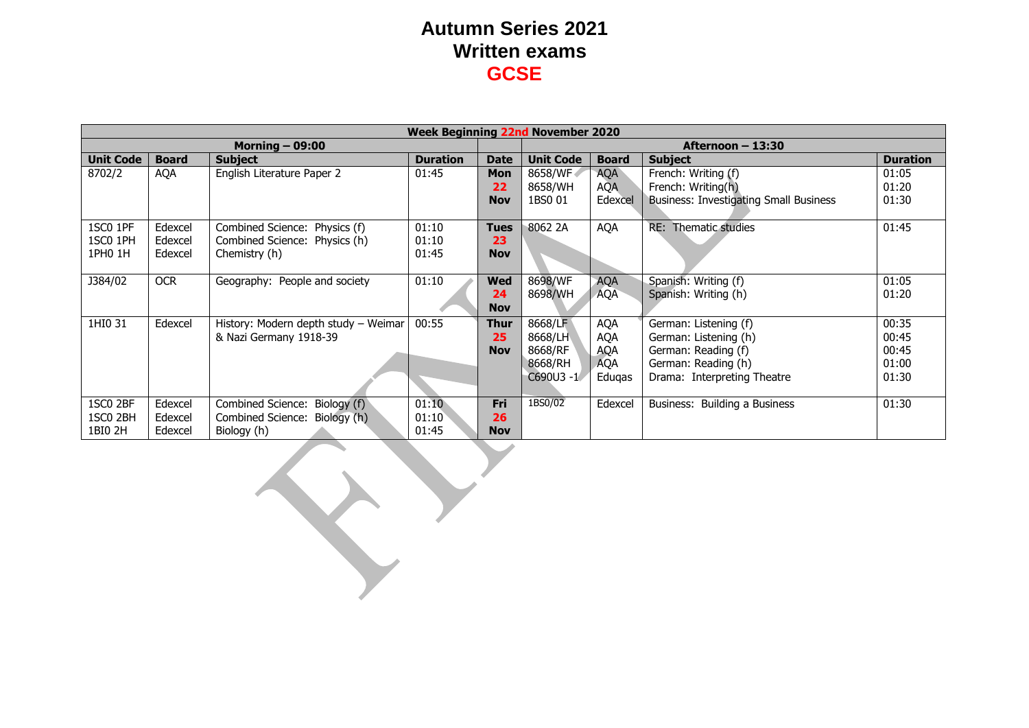|                                 | <b>Week Beginning 22nd November 2020</b> |                                                                                 |                         |                                 |                                                          |                                                         |                                                                                                                             |                                           |  |
|---------------------------------|------------------------------------------|---------------------------------------------------------------------------------|-------------------------|---------------------------------|----------------------------------------------------------|---------------------------------------------------------|-----------------------------------------------------------------------------------------------------------------------------|-------------------------------------------|--|
|                                 |                                          | <b>Morning - 09:00</b>                                                          |                         |                                 | Afternoon - 13:30                                        |                                                         |                                                                                                                             |                                           |  |
| <b>Unit Code</b>                | <b>Board</b>                             | <b>Subject</b>                                                                  | <b>Duration</b>         | <b>Date</b>                     | <b>Unit Code</b>                                         | <b>Board</b>                                            | <b>Subject</b>                                                                                                              | <b>Duration</b>                           |  |
| 8702/2                          | AQA                                      | English Literature Paper 2                                                      | 01:45                   | <b>Mon</b><br>22<br><b>Nov</b>  | 8658/WF<br>8658/WH<br>1BS0 01                            | <b>AQA</b><br><b>AQA</b><br>Edexcel                     | French: Writing (f)<br>French: Writing(h)<br><b>Business: Investigating Small Business</b>                                  | 01:05<br>01:20<br>01:30                   |  |
| 1SC0 1PF<br>1SC0 1PH<br>1PH0 1H | Edexcel<br>Edexcel<br>Edexcel            | Combined Science: Physics (f)<br>Combined Science: Physics (h)<br>Chemistry (h) | 01:10<br>01:10<br>01:45 | <b>Tues</b><br>23<br><b>Nov</b> | 8062 2A                                                  | <b>AQA</b>                                              | RE: Thematic studies                                                                                                        | 01:45                                     |  |
| J384/02                         | <b>OCR</b>                               | Geography: People and society                                                   | 01:10                   | Wed<br>24<br><b>Nov</b>         | 8698/WF<br>8698/WH                                       | <b>AQA</b><br><b>AQA</b>                                | Spanish: Writing (f)<br>Spanish: Writing (h)                                                                                | 01:05<br>01:20                            |  |
| 1HI0 31                         | Edexcel                                  | History: Modern depth study - Weimar<br>& Nazi Germany 1918-39                  | 00:55                   | Thur<br>25<br><b>Nov</b>        | 8668/LF<br>8668/LH<br>8668/RF<br>8668/RH<br>$C690U3 - 1$ | <b>AQA</b><br><b>AQA</b><br>AQA<br><b>AQA</b><br>Edugas | German: Listening (f)<br>German: Listening (h)<br>German: Reading (f)<br>German: Reading (h)<br>Drama: Interpreting Theatre | 00:35<br>00:45<br>00:45<br>01:00<br>01:30 |  |
| 1SC0 2BF<br>1SC0 2BH<br>1BI0 2H | Edexcel<br>Edexcel<br>Edexcel            | Combined Science: Biology (f)<br>Combined Science: Biology (h)<br>Biology (h)   | 01:10<br>01:10<br>01:45 | Fri<br>26<br><b>Nov</b>         | 1BS0/02                                                  | Edexcel                                                 | Business: Building a Business                                                                                               | 01:30                                     |  |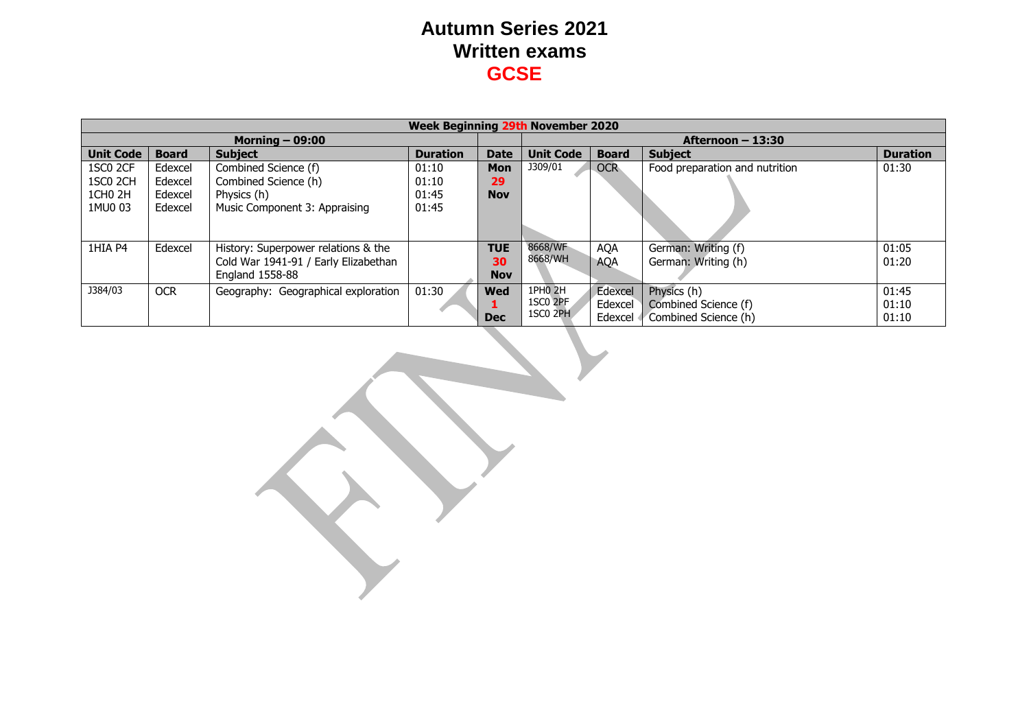| <b>Week Beginning 29th November 2020</b> |                   |                                      |                 |             |                                                    |                    |                                |                 |  |  |
|------------------------------------------|-------------------|--------------------------------------|-----------------|-------------|----------------------------------------------------|--------------------|--------------------------------|-----------------|--|--|
|                                          | Morning $-$ 09:00 |                                      |                 |             |                                                    | Afternoon $-13:30$ |                                |                 |  |  |
| <b>Unit Code</b>                         | <b>Board</b>      | <b>Subject</b>                       | <b>Duration</b> | <b>Date</b> | <b>Unit Code</b><br><b>Subject</b><br><b>Board</b> |                    |                                | <b>Duration</b> |  |  |
| 1SC0 2CF                                 | Edexcel           | Combined Science (f)                 | 01:10           | <b>Mon</b>  | J309/01                                            | <b>OCR</b>         | Food preparation and nutrition | 01:30           |  |  |
| 1SC <sub>0</sub> 2CH                     | Edexcel           | Combined Science (h)                 | 01:10           | 29          |                                                    |                    |                                |                 |  |  |
| 1CH <sub>0</sub> 2H                      | Edexcel           | Physics (h)                          | 01:45           | <b>Nov</b>  |                                                    |                    |                                |                 |  |  |
| 1MU0 03                                  | Edexcel           | Music Component 3: Appraising        | 01:45           |             |                                                    |                    |                                |                 |  |  |
|                                          |                   |                                      |                 |             |                                                    |                    |                                |                 |  |  |
|                                          |                   |                                      |                 |             |                                                    |                    |                                |                 |  |  |
| 1HIA P4                                  | Edexcel           | History: Superpower relations & the  |                 | <b>TUE</b>  | 8668/WF                                            | <b>AQA</b>         | German: Writing (f)            | 01:05           |  |  |
|                                          |                   | Cold War 1941-91 / Early Elizabethan |                 | 30          | 8668/WH                                            | <b>AQA</b>         | German: Writing (h)            | 01:20           |  |  |
|                                          |                   | England 1558-88                      |                 | <b>Nov</b>  |                                                    |                    |                                |                 |  |  |
| J384/03                                  | <b>OCR</b>        | Geography: Geographical exploration  | 01:30           | Wed         | 1PHO 2H                                            | Edexcel            | Physics (h)                    | 01:45           |  |  |
|                                          |                   |                                      |                 |             | 1SC0 2PF                                           | Edexcel            | Combined Science (f)           | 01:10           |  |  |
|                                          |                   |                                      |                 | <b>Dec</b>  | 1SC <sub>0</sub> 2PH                               | Edexcel            | Combined Science (h)           | 01:10           |  |  |

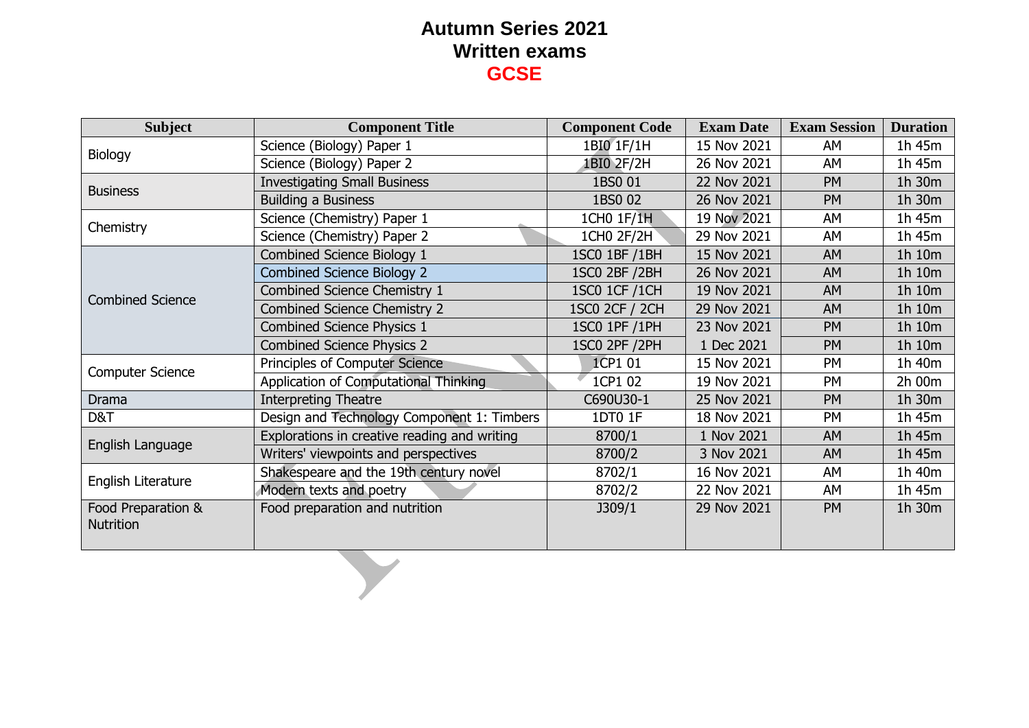| <b>Subject</b>                         | <b>Component Title</b>                       | <b>Component Code</b>   | <b>Exam Date</b>                                                                                                                                                                                                                                                           | <b>Exam Session</b> | <b>Duration</b> |
|----------------------------------------|----------------------------------------------|-------------------------|----------------------------------------------------------------------------------------------------------------------------------------------------------------------------------------------------------------------------------------------------------------------------|---------------------|-----------------|
|                                        | Science (Biology) Paper 1                    | 1BI0 1F/1H              | 15 Nov 2021                                                                                                                                                                                                                                                                | AM                  | 1h 45m          |
| Biology                                | Science (Biology) Paper 2                    | 1BI0 2F/2H              | 26 Nov 2021                                                                                                                                                                                                                                                                | AM                  | 1h 45m          |
| <b>Business</b>                        | <b>Investigating Small Business</b>          | 1BS0 01                 | 22 Nov 2021                                                                                                                                                                                                                                                                | <b>PM</b>           | 1h 30m          |
|                                        | <b>Building a Business</b>                   | 1BS0 02                 | 26 Nov 2021                                                                                                                                                                                                                                                                | <b>PM</b>           | 1h 30m          |
| Chemistry                              | Science (Chemistry) Paper 1                  | 1CH0 1F/1H              | 19 Nov 2021                                                                                                                                                                                                                                                                | AM                  | 1h 45m          |
|                                        | Science (Chemistry) Paper 2                  | $\overline{1CH0}$ 2F/2H | 29 Nov 2021                                                                                                                                                                                                                                                                | AM                  | 1h 45m          |
|                                        | Combined Science Biology 1                   | 1SC0 1BF / 1BH          | 15 Nov 2021                                                                                                                                                                                                                                                                | <b>AM</b>           | 1h 10m          |
|                                        | <b>Combined Science Biology 2</b>            | 1SC0 2BF /2BH           | 26 Nov 2021                                                                                                                                                                                                                                                                | <b>AM</b>           | 1h 10m          |
| <b>Combined Science</b>                | Combined Science Chemistry 1                 | 1SC0 1CF / 1CH          | 19 Nov 2021                                                                                                                                                                                                                                                                | <b>AM</b>           | 1h 10m          |
|                                        | <b>Combined Science Chemistry 2</b>          | <b>1SC0 2CF / 2CH</b>   | 29 Nov 2021                                                                                                                                                                                                                                                                | <b>AM</b>           | 1h 10m          |
|                                        | Combined Science Physics 1                   | 1SC0 1PF / 1PH          | 23 Nov 2021<br>PM<br>1 Dec 2021<br><b>PM</b><br>15 Nov 2021<br>PM<br>19 Nov 2021<br><b>PM</b><br>25 Nov 2021<br><b>PM</b><br>18 Nov 2021<br><b>PM</b><br>1 Nov 2021<br><b>AM</b><br>3 Nov 2021<br><b>AM</b><br>16 Nov 2021<br>AM<br>22 Nov 2021<br>AM<br>29 Nov 2021<br>PM | 1h 10m              |                 |
|                                        | <b>Combined Science Physics 2</b>            | 1SC0 2PF / 2PH          |                                                                                                                                                                                                                                                                            |                     | 1h 10m          |
|                                        | Principles of Computer Science               | 1CP1 01                 |                                                                                                                                                                                                                                                                            |                     | 1h 40m          |
| <b>Computer Science</b>                | Application of Computational Thinking        | 1CP1 02                 |                                                                                                                                                                                                                                                                            |                     | 2h 00m          |
| <b>Drama</b>                           | <b>Interpreting Theatre</b>                  | C690U30-1               |                                                                                                                                                                                                                                                                            |                     | 1h 30m          |
| D&T                                    | Design and Technology Component 1: Timbers   | 1DT0 1F                 |                                                                                                                                                                                                                                                                            |                     | 1h 45m          |
| English Language                       | Explorations in creative reading and writing | 8700/1                  |                                                                                                                                                                                                                                                                            |                     | 1h 45m          |
|                                        | Writers' viewpoints and perspectives         | 8700/2                  |                                                                                                                                                                                                                                                                            |                     | 1h 45m          |
|                                        | Shakespeare and the 19th century novel       | 8702/1                  |                                                                                                                                                                                                                                                                            |                     | 1h 40m          |
| English Literature                     | Modern texts and poetry                      | 8702/2                  |                                                                                                                                                                                                                                                                            |                     | 1h 45m          |
| Food Preparation &<br><b>Nutrition</b> | Food preparation and nutrition               | J309/1                  |                                                                                                                                                                                                                                                                            |                     | 1h 30m          |
|                                        |                                              |                         |                                                                                                                                                                                                                                                                            |                     |                 |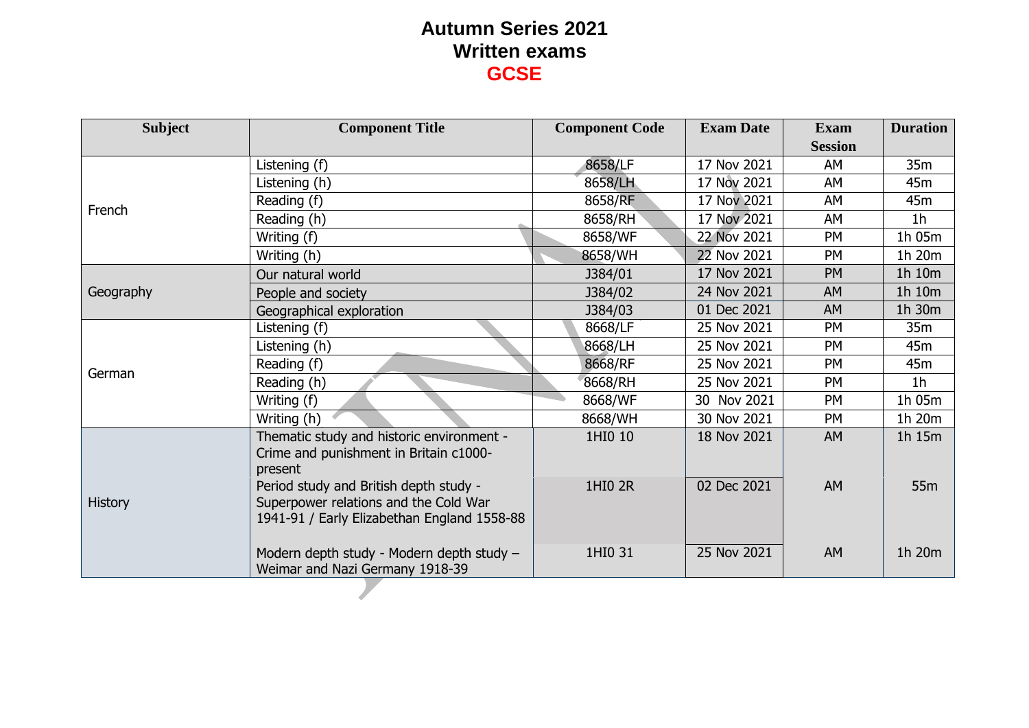| <b>Subject</b> | <b>Component Title</b>                                                                                                         | <b>Component Code</b> | <b>Exam Date</b> | <b>Exam</b>    | <b>Duration</b> |
|----------------|--------------------------------------------------------------------------------------------------------------------------------|-----------------------|------------------|----------------|-----------------|
|                |                                                                                                                                |                       |                  | <b>Session</b> |                 |
|                | Listening (f)                                                                                                                  | 8658/LF               | 17 Nov 2021      | AM             | 35m             |
|                | Listening (h)                                                                                                                  | 8658/LH               | 17 Nov 2021      | AM             | 45m             |
| French         | Reading (f)                                                                                                                    | 8658/RF               | 17 Nov 2021      | AM             | 45m             |
|                | Reading (h)                                                                                                                    | 8658/RH               | 17 Nov 2021      | AM             | 1 <sub>h</sub>  |
|                | Writing (f)                                                                                                                    | 8658/WF               | 22 Nov 2021      | <b>PM</b>      | 1h 05m          |
|                | Writing (h)                                                                                                                    | 8658/WH               | 22 Nov 2021      | <b>PM</b>      | 1h 20m          |
|                | Our natural world                                                                                                              | J384/01               | 17 Nov 2021      | <b>PM</b>      | 1h 10m          |
| Geography      | People and society                                                                                                             | J384/02               | 24 Nov 2021      | <b>AM</b>      | 1h 10m          |
|                | Geographical exploration                                                                                                       | J384/03               | 01 Dec 2021      | <b>AM</b>      | 1h 30m          |
|                | Listening (f)                                                                                                                  | 8668/LF               | 25 Nov 2021      | <b>PM</b>      | 35m             |
|                | Listening (h)                                                                                                                  | 8668/LH               | 25 Nov 2021      | PM             | 45m             |
| German         | Reading (f)                                                                                                                    | 8668/RF               | 25 Nov 2021      | PM             | 45m             |
|                | Reading (h)                                                                                                                    | 8668/RH               | 25 Nov 2021      | <b>PM</b>      | 1 <sub>h</sub>  |
|                | Writing (f)                                                                                                                    | 8668/WF               | 30 Nov 2021      | PM             | 1h 05m          |
|                | Writing (h)                                                                                                                    | 8668/WH               | 30 Nov 2021      | <b>PM</b>      | 1h 20m          |
|                | Thematic study and historic environment -<br>Crime and punishment in Britain c1000-<br>present                                 | 1HI0 10               | 18 Nov 2021      | <b>AM</b>      | 1h 15m          |
| <b>History</b> | Period study and British depth study -<br>Superpower relations and the Cold War<br>1941-91 / Early Elizabethan England 1558-88 | 1HI0 2R               | 02 Dec 2021      | <b>AM</b>      | 55 <sub>m</sub> |
|                | Modern depth study - Modern depth study -<br>Weimar and Nazi Germany 1918-39                                                   | 1HI0 31               | 25 Nov 2021      | <b>AM</b>      | 1h 20m          |
|                |                                                                                                                                |                       |                  |                |                 |